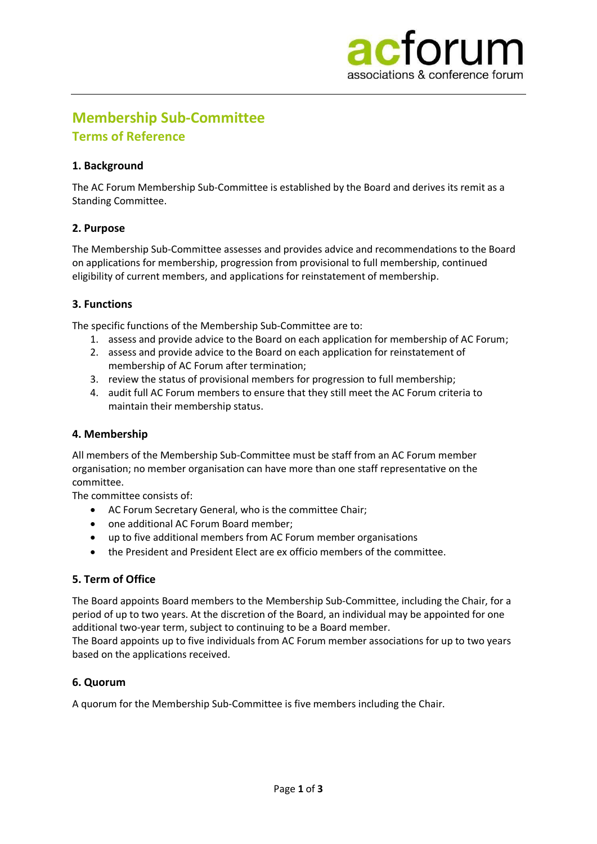

# **Membership Sub-Committee Terms of Reference**

# **1. Background**

The AC Forum Membership Sub-Committee is established by the Board and derives its remit as a Standing Committee.

## **2. Purpose**

The Membership Sub-Committee assesses and provides advice and recommendations to the Board on applications for membership, progression from provisional to full membership, continued eligibility of current members, and applications for reinstatement of membership.

# **3. Functions**

The specific functions of the Membership Sub-Committee are to:

- 1. assess and provide advice to the Board on each application for membership of AC Forum;
- 2. assess and provide advice to the Board on each application for reinstatement of membership of AC Forum after termination;
- 3. review the status of provisional members for progression to full membership;
- 4. audit full AC Forum members to ensure that they still meet the AC Forum criteria to maintain their membership status.

## **4. Membership**

All members of the Membership Sub-Committee must be staff from an AC Forum member organisation; no member organisation can have more than one staff representative on the committee.

The committee consists of:

- AC Forum Secretary General, who is the committee Chair;
- one additional AC Forum Board member;
- up to five additional members from AC Forum member organisations
- the President and President Elect are ex officio members of the committee.

## **5. Term of Office**

The Board appoints Board members to the Membership Sub-Committee, including the Chair, for a period of up to two years. At the discretion of the Board, an individual may be appointed for one additional two-year term, subject to continuing to be a Board member.

The Board appoints up to five individuals from AC Forum member associations for up to two years based on the applications received.

## **6. Quorum**

A quorum for the Membership Sub-Committee is five members including the Chair.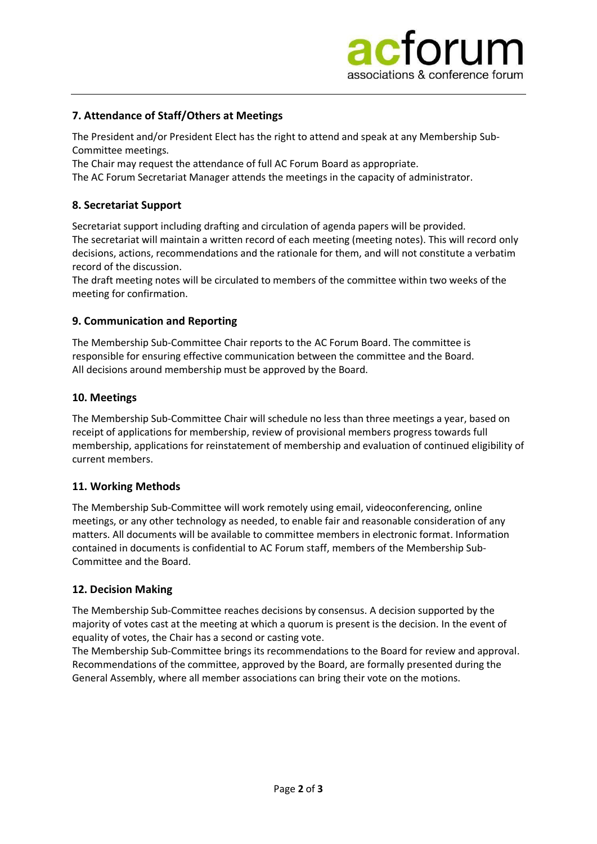

## **7. Attendance of Staff/Others at Meetings**

The President and/or President Elect has the right to attend and speak at any Membership Sub-Committee meetings.

The Chair may request the attendance of full AC Forum Board as appropriate.

The AC Forum Secretariat Manager attends the meetings in the capacity of administrator.

## **8. Secretariat Support**

Secretariat support including drafting and circulation of agenda papers will be provided. The secretariat will maintain a written record of each meeting (meeting notes). This will record only decisions, actions, recommendations and the rationale for them, and will not constitute a verbatim record of the discussion.

The draft meeting notes will be circulated to members of the committee within two weeks of the meeting for confirmation.

## **9. Communication and Reporting**

The Membership Sub-Committee Chair reports to the AC Forum Board. The committee is responsible for ensuring effective communication between the committee and the Board. All decisions around membership must be approved by the Board.

#### **10. Meetings**

The Membership Sub-Committee Chair will schedule no less than three meetings a year, based on receipt of applications for membership, review of provisional members progress towards full membership, applications for reinstatement of membership and evaluation of continued eligibility of current members.

## **11. Working Methods**

The Membership Sub-Committee will work remotely using email, videoconferencing, online meetings, or any other technology as needed, to enable fair and reasonable consideration of any matters. All documents will be available to committee members in electronic format. Information contained in documents is confidential to AC Forum staff, members of the Membership Sub-Committee and the Board.

## **12. Decision Making**

The Membership Sub-Committee reaches decisions by consensus. A decision supported by the majority of votes cast at the meeting at which a quorum is present is the decision. In the event of equality of votes, the Chair has a second or casting vote.

The Membership Sub-Committee brings its recommendations to the Board for review and approval. Recommendations of the committee, approved by the Board, are formally presented during the General Assembly, where all member associations can bring their vote on the motions.